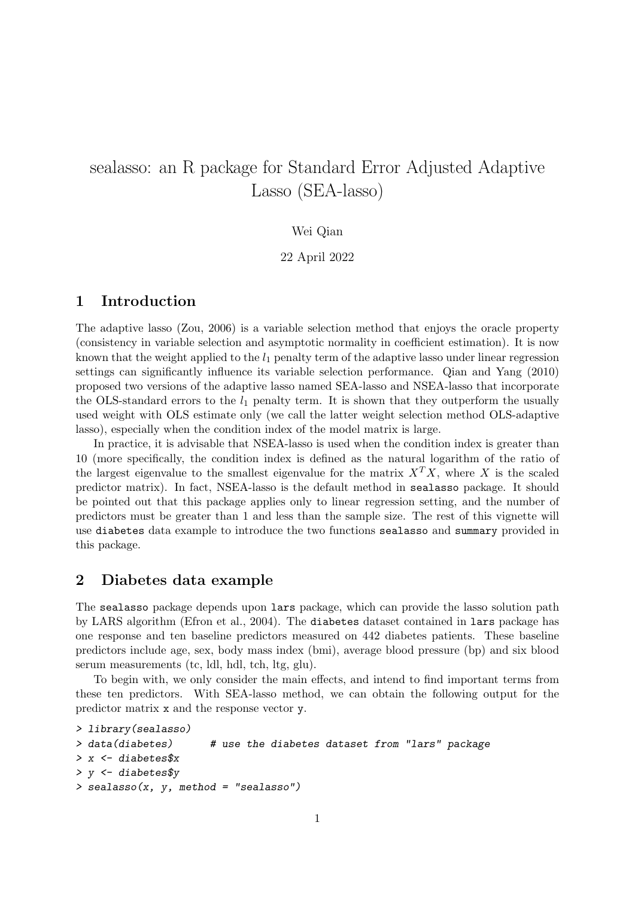# sealasso: an R package for Standard Error Adjusted Adaptive Lasso (SEA-lasso)

#### Wei Qian

#### 22 April 2022

## 1 Introduction

The adaptive lasso (Zou, 2006) is a variable selection method that enjoys the oracle property (consistency in variable selection and asymptotic normality in coefficient estimation). It is now known that the weight applied to the  $l_1$  penalty term of the adaptive lasso under linear regression settings can significantly influence its variable selection performance. Qian and Yang (2010) proposed two versions of the adaptive lasso named SEA-lasso and NSEA-lasso that incorporate the OLS-standard errors to the  $l_1$  penalty term. It is shown that they outperform the usually used weight with OLS estimate only (we call the latter weight selection method OLS-adaptive lasso), especially when the condition index of the model matrix is large.

In practice, it is advisable that NSEA-lasso is used when the condition index is greater than 10 (more specifically, the condition index is defined as the natural logarithm of the ratio of the largest eigenvalue to the smallest eigenvalue for the matrix  $X<sup>T</sup>X$ , where X is the scaled predictor matrix). In fact, NSEA-lasso is the default method in sealasso package. It should be pointed out that this package applies only to linear regression setting, and the number of predictors must be greater than 1 and less than the sample size. The rest of this vignette will use diabetes data example to introduce the two functions sealasso and summary provided in this package.

## 2 Diabetes data example

The sealasso package depends upon lars package, which can provide the lasso solution path by LARS algorithm (Efron et al., 2004). The diabetes dataset contained in lars package has one response and ten baseline predictors measured on 442 diabetes patients. These baseline predictors include age, sex, body mass index (bmi), average blood pressure (bp) and six blood serum measurements (tc, ldl, hdl, tch, ltg, glu).

To begin with, we only consider the main effects, and intend to find important terms from these ten predictors. With SEA-lasso method, we can obtain the following output for the predictor matrix x and the response vector y.

```
> library(sealasso)
> data(diabetes) # use the diabetes dataset from "lars" package
> x <- diabetes$x
> y <- diabetes$y
> sealasso(x, y, method = "sealasso")
```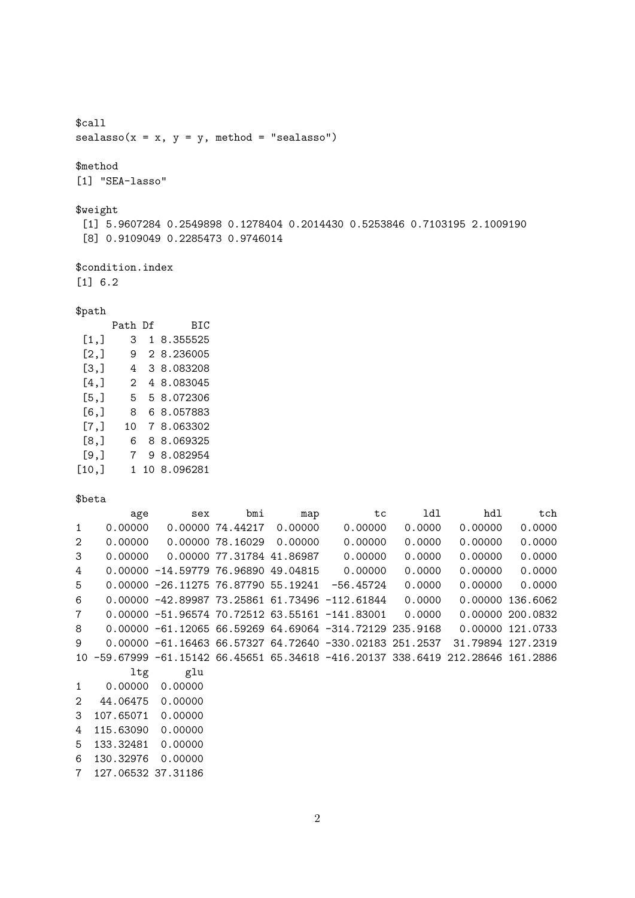\$call  $sealasso(x = x, y = y, method = "sealasso")$ 

\$method [1] "SEA-lasso"

\$weight

[1] 5.9607284 0.2549898 0.1278404 0.2014430 0.5253846 0.7103195 2.1009190 [8] 0.9109049 0.2285473 0.9746014

\$condition.index [1] 6.2

#### \$path

|    | BIC         |
|----|-------------|
| 3  | 1 8.355525  |
| 9  | 2 8.236005  |
| 4  | 3 8.083208  |
| 2  | 4 8.083045  |
| 5  | 5 8.072306  |
| 8  | 6 8.057883  |
| 10 | 7 8.063302  |
| 6  | 8 8.069325  |
| 7  | 9 8.082954  |
|    | 10 8.096281 |
|    | Path Df     |

\$beta

| age       | sex     | bmi | map                                  | tc                                                                                                        | ldl                                                                                                      | hdl                                                                                                                    | tch                                                                          |
|-----------|---------|-----|--------------------------------------|-----------------------------------------------------------------------------------------------------------|----------------------------------------------------------------------------------------------------------|------------------------------------------------------------------------------------------------------------------------|------------------------------------------------------------------------------|
| 0.00000   |         |     | 0.00000                              | 0.00000                                                                                                   | 0.0000                                                                                                   | 0.00000                                                                                                                | 0.0000                                                                       |
| 0.00000   |         |     | 0.00000                              | 0.00000                                                                                                   | 0.0000                                                                                                   | 0.00000                                                                                                                | 0.0000                                                                       |
| 0.00000   |         |     |                                      | 0.00000                                                                                                   | 0.0000                                                                                                   | 0.00000                                                                                                                | 0.0000                                                                       |
|           |         |     |                                      | 0.00000                                                                                                   | 0.0000                                                                                                   | 0.00000                                                                                                                | 0.0000                                                                       |
|           |         |     |                                      | $-56.45724$                                                                                               | 0.0000                                                                                                   | 0.00000                                                                                                                | 0.0000                                                                       |
|           |         |     |                                      |                                                                                                           | 0.0000                                                                                                   |                                                                                                                        | 0.00000 136.6062                                                             |
|           |         |     |                                      |                                                                                                           | 0.0000                                                                                                   |                                                                                                                        | 0.00000 200.0832                                                             |
|           |         |     |                                      |                                                                                                           |                                                                                                          |                                                                                                                        | 0.00000 121.0733                                                             |
|           |         |     |                                      |                                                                                                           |                                                                                                          | 31.79894 127.2319                                                                                                      |                                                                              |
|           |         |     |                                      |                                                                                                           |                                                                                                          |                                                                                                                        |                                                                              |
| ltg       | glu     |     |                                      |                                                                                                           |                                                                                                          |                                                                                                                        |                                                                              |
| 0.00000   | 0.00000 |     |                                      |                                                                                                           |                                                                                                          |                                                                                                                        |                                                                              |
| 44.06475  | 0.00000 |     |                                      |                                                                                                           |                                                                                                          |                                                                                                                        |                                                                              |
| 107.65071 | 0.00000 |     |                                      |                                                                                                           |                                                                                                          |                                                                                                                        |                                                                              |
| 115.63090 | 0.00000 |     |                                      |                                                                                                           |                                                                                                          |                                                                                                                        |                                                                              |
| 133.32481 | 0.00000 |     |                                      |                                                                                                           |                                                                                                          |                                                                                                                        |                                                                              |
| 130.32976 | 0.00000 |     |                                      |                                                                                                           |                                                                                                          |                                                                                                                        |                                                                              |
|           |         |     | 0.00000 74.44217<br>0.00000 78.16029 | 0.00000 77.31784 41.86987<br>$0.00000 - 14.5977976.9689049.04815$<br>$0.00000 - 26.1127576.8779055.19241$ | $0.00000 - 42.89987 73.25861 61.73496 - 112.61844$<br>$0.00000 - 51.96574 70.72512 63.55161 - 141.83001$ | $0.00000 - 61.12065 66.59269 64.69064 -314.72129 235.9168$<br>$0.00000 - 61.1646366.5732764.72640 - 330.02183251.2537$ | -59.67999 -61.15142 66.45651 65.34618 -416.20137 338.6419 212.28646 161.2886 |

7 127.06532 37.31186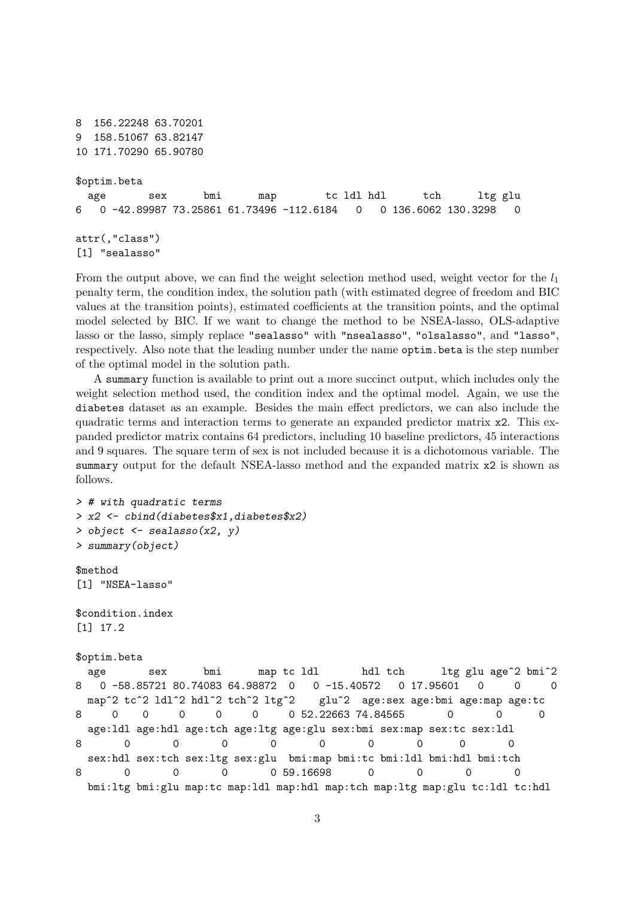```
8 156.22248 63.70201
9 158.51067 63.82147
10 171.70290 65.90780
$optim.beta
 age sex bmi map tc ldl hdl tch ltg glu
6 0 -42.89987 73.25861 61.73496 -112.6184 0 0 136.6062 130.3298 0
attr(,"class")
[1] "sealasso"
```
From the output above, we can find the weight selection method used, weight vector for the  $l_1$ penalty term, the condition index, the solution path (with estimated degree of freedom and BIC values at the transition points), estimated coefficients at the transition points, and the optimal model selected by BIC. If we want to change the method to be NSEA-lasso, OLS-adaptive lasso or the lasso, simply replace "sealasso" with "nsealasso", "olsalasso", and "lasso", respectively. Also note that the leading number under the name optim.beta is the step number of the optimal model in the solution path.

A summary function is available to print out a more succinct output, which includes only the weight selection method used, the condition index and the optimal model. Again, we use the diabetes dataset as an example. Besides the main effect predictors, we can also include the quadratic terms and interaction terms to generate an expanded predictor matrix x2. This expanded predictor matrix contains 64 predictors, including 10 baseline predictors, 45 interactions and 9 squares. The square term of sex is not included because it is a dichotomous variable. The summary output for the default NSEA-lasso method and the expanded matrix x2 is shown as follows.

```
> # with quadratic terms
> x2 <- cbind(diabetes$x1,diabetes$x2)
> object <- sealasso(x2, y)> summary(object)
$method
[1] "NSEA-lasso"
$condition.index
[1] 17.2
$optim.beta
 age sex bmi map tc 1d1 hdl tch 1tg glu age<sup>2</sup> bmi<sup>2</sup>
8 0 -58.85721 80.74083 64.98872 0 0 -15.40572 0 17.95601 0 0 0
 map<sup>2</sup> tc<sup>2</sup> ldl<sup>2</sup> hdl<sup>2</sup> tch<sup>2</sup> ltg<sup>2</sup> glu<sup>2</sup> age:sex age:bmi age:map age:tc
8 0 0 0 0 0 0 52.22663 74.84565 0 0 0
 age:ldl age:hdl age:tch age:ltg age:glu sex:bmi sex:map sex:tc sex:ldl
8 0 0 0 0 0 0 0 0 0
 sex:hdl sex:tch sex:ltg sex:glu bmi:map bmi:tc bmi:ldl bmi:hdl bmi:tch
8 0 0 0 0 59.16698 0 0 0 0
 bmi:ltg bmi:glu map:tc map:ldl map:hdl map:tch map:ltg map:glu tc:ldl tc:hdl
```